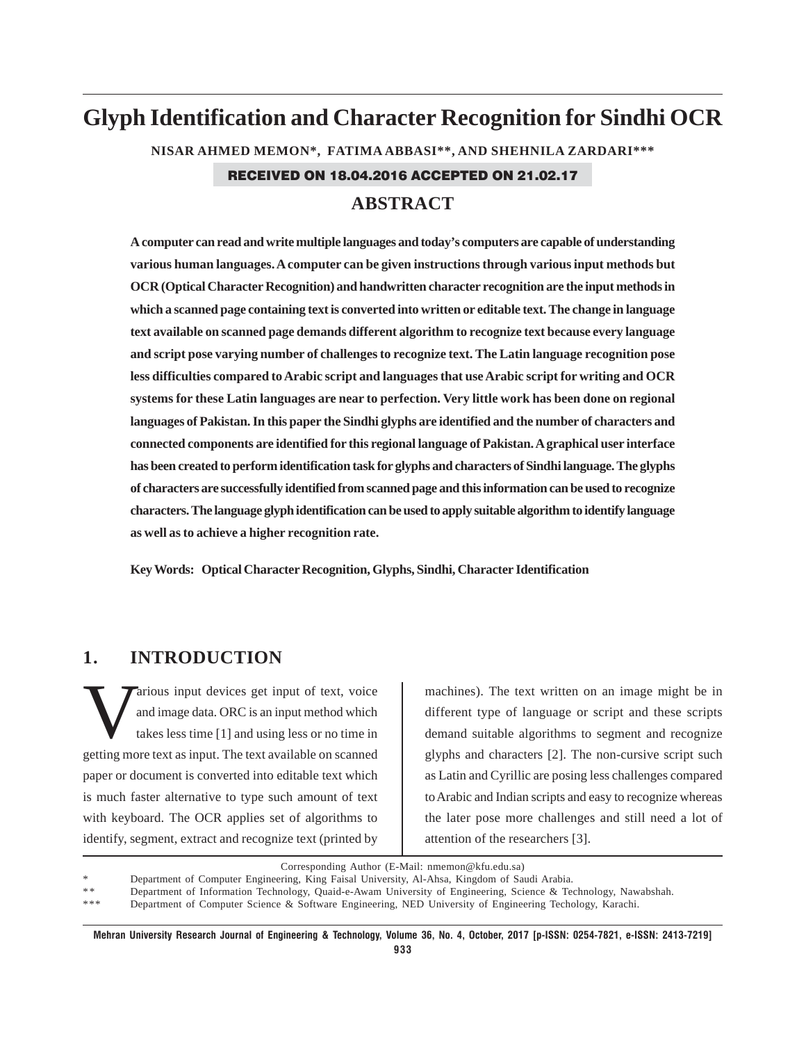# **Glyph Identification and Character Recognition for Sindhi OCR**

**NISAR AHMED MEMON\*, FATIMA ABBASI\*\*, AND SHEHNILA ZARDARI\*\*\*** RECEIVED ON 18.04.2016 ACCEPTED ON 21.02.17

# **ABSTRACT**

**A computer can read and write multiple languages and today's computers are capable of understanding various human languages. A computer can be given instructions through various input methods but OCR (Optical Character Recognition) and handwritten character recognition are the input methods in which a scanned page containing text is converted into written or editable text. The change in language text available on scanned page demands different algorithm to recognize text because every language and script pose varying number of challenges to recognize text. The Latin language recognition pose less difficulties compared to Arabic script and languages that use Arabic script for writing and OCR systems for these Latin languages are near to perfection. Very little work has been done on regional languages of Pakistan. In this paper the Sindhi glyphs are identified and the number of characters and connected components are identified for this regional language of Pakistan. A graphical user interface has been created to perform identification task for glyphs and characters of Sindhi language. The glyphs of characters are successfully identified from scanned page and this information can be used to recognize characters. The language glyph identification can be used to apply suitable algorithm to identify language as well as to achieve a higher recognition rate.**

**Key Words: Optical Character Recognition, Glyphs, Sindhi, Character Identification**

# **1. INTRODUCTION**

Various input devices get input of text, voice<br>and image data. ORC is an input method which<br>takes less time [1] and using less or no time in and image data. ORC is an input method which takes less time [1] and using less or no time in getting more text as input. The text available on scanned paper or document is converted into editable text which is much faster alternative to type such amount of text with keyboard. The OCR applies set of algorithms to identify, segment, extract and recognize text (printed by

machines). The text written on an image might be in different type of language or script and these scripts demand suitable algorithms to segment and recognize glyphs and characters [2]. The non-cursive script such as Latin and Cyrillic are posing less challenges compared to Arabic and Indian scripts and easy to recognize whereas the later pose more challenges and still need a lot of attention of the researchers [3].

Corresponding Author (E-Mail: nmemon@kfu.edu.sa)

Department of Computer Engineering, King Faisal University, Al-Ahsa, Kingdom of Saudi Arabia.

Department of Information Technology, Quaid-e-Awam University of Engineering, Science & Technology, Nawabshah.

\*\*\* Department of Computer Science & Software Engineering, NED University of Engineering Techology, Karachi.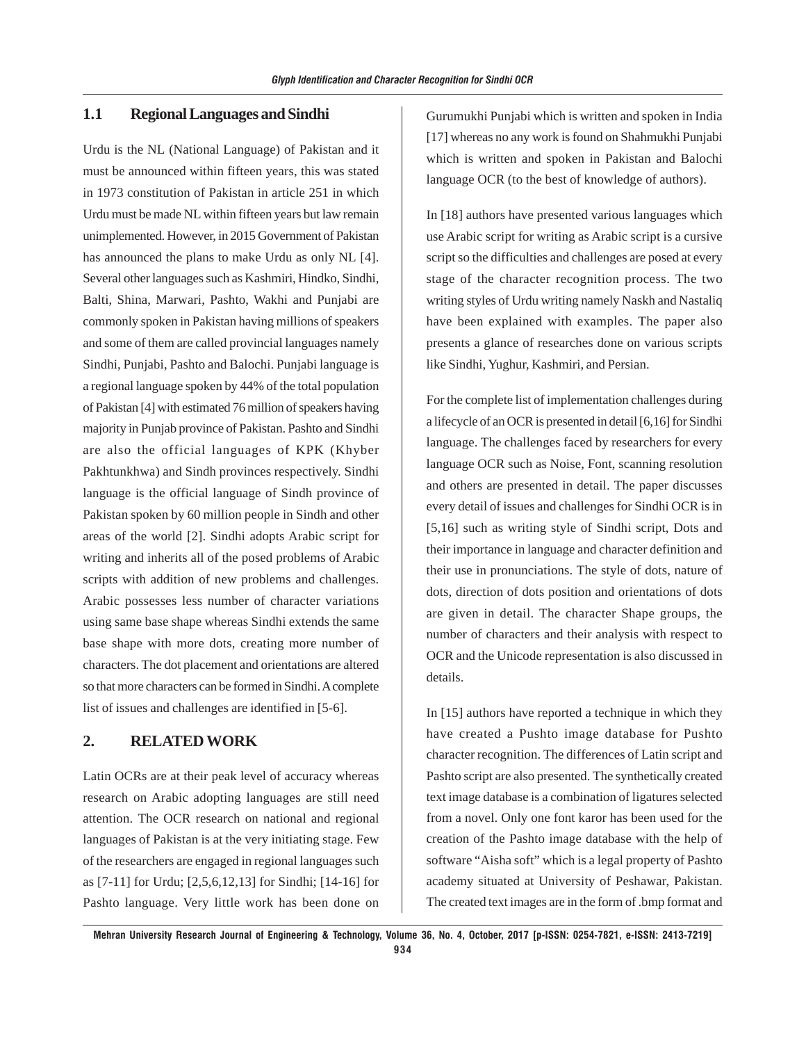#### **1.1 Regional Languages and Sindhi**

Urdu is the NL (National Language) of Pakistan and it must be announced within fifteen years, this was stated in 1973 constitution of Pakistan in article 251 in which Urdu must be made NL within fifteen years but law remain unimplemented. However, in 2015 Government of Pakistan has announced the plans to make Urdu as only NL [4]. Several other languages such as Kashmiri, Hindko, Sindhi, Balti, Shina, Marwari, Pashto, Wakhi and Punjabi are commonly spoken in Pakistan having millions of speakers and some of them are called provincial languages namely Sindhi, Punjabi, Pashto and Balochi. Punjabi language is a regional language spoken by 44% of the total population of Pakistan [4] with estimated 76 million of speakers having majority in Punjab province of Pakistan. Pashto and Sindhi are also the official languages of KPK (Khyber Pakhtunkhwa) and Sindh provinces respectively. Sindhi language is the official language of Sindh province of Pakistan spoken by 60 million people in Sindh and other areas of the world [2]. Sindhi adopts Arabic script for writing and inherits all of the posed problems of Arabic scripts with addition of new problems and challenges. Arabic possesses less number of character variations using same base shape whereas Sindhi extends the same base shape with more dots, creating more number of characters. The dot placement and orientations are altered so that more characters can be formed in Sindhi. A complete list of issues and challenges are identified in [5-6].

# **2. RELATED WORK**

Latin OCRs are at their peak level of accuracy whereas research on Arabic adopting languages are still need attention. The OCR research on national and regional languages of Pakistan is at the very initiating stage. Few of the researchers are engaged in regional languages such as [7-11] for Urdu; [2,5,6,12,13] for Sindhi; [14-16] for Pashto language. Very little work has been done on Gurumukhi Punjabi which is written and spoken in India [17] whereas no any work is found on Shahmukhi Punjabi which is written and spoken in Pakistan and Balochi language OCR (to the best of knowledge of authors).

In [18] authors have presented various languages which use Arabic script for writing as Arabic script is a cursive script so the difficulties and challenges are posed at every stage of the character recognition process. The two writing styles of Urdu writing namely Naskh and Nastaliq have been explained with examples. The paper also presents a glance of researches done on various scripts like Sindhi, Yughur, Kashmiri, and Persian.

For the complete list of implementation challenges during a lifecycle of an OCR is presented in detail [6,16] for Sindhi language. The challenges faced by researchers for every language OCR such as Noise, Font, scanning resolution and others are presented in detail. The paper discusses every detail of issues and challenges for Sindhi OCR is in [5,16] such as writing style of Sindhi script, Dots and their importance in language and character definition and their use in pronunciations. The style of dots, nature of dots, direction of dots position and orientations of dots are given in detail. The character Shape groups, the number of characters and their analysis with respect to OCR and the Unicode representation is also discussed in details.

In [15] authors have reported a technique in which they have created a Pushto image database for Pushto character recognition. The differences of Latin script and Pashto script are also presented. The synthetically created text image database is a combination of ligatures selected from a novel. Only one font karor has been used for the creation of the Pashto image database with the help of software "Aisha soft" which is a legal property of Pashto academy situated at University of Peshawar, Pakistan. The created text images are in the form of .bmp format and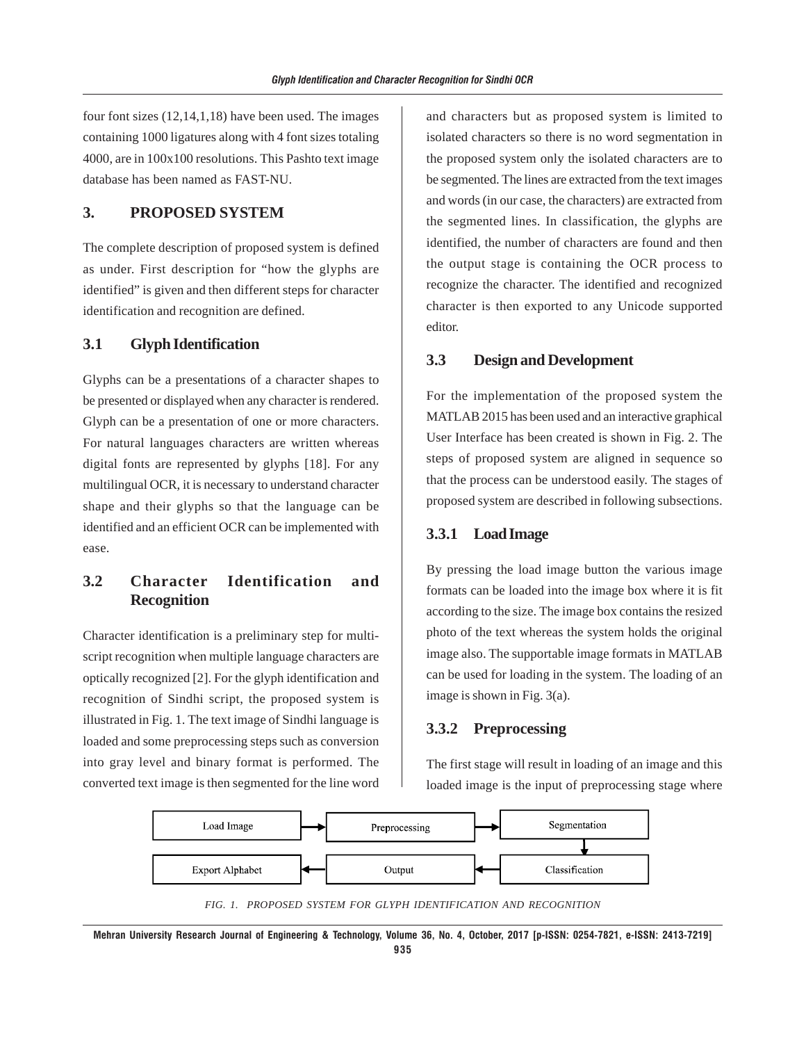four font sizes (12,14,1,18) have been used. The images containing 1000 ligatures along with 4 font sizes totaling 4000, are in 100x100 resolutions. This Pashto text image database has been named as FAST-NU.

## **3. PROPOSED SYSTEM**

The complete description of proposed system is defined as under. First description for "how the glyphs are identified" is given and then different steps for character identification and recognition are defined.

## **3.1 Glyph Identification**

Glyphs can be a presentations of a character shapes to be presented or displayed when any character is rendered. Glyph can be a presentation of one or more characters. For natural languages characters are written whereas digital fonts are represented by glyphs [18]. For any multilingual OCR, it is necessary to understand character shape and their glyphs so that the language can be identified and an efficient OCR can be implemented with ease.

# **3.2 Character Identification and Recognition**

Character identification is a preliminary step for multiscript recognition when multiple language characters are optically recognized [2]. For the glyph identification and recognition of Sindhi script, the proposed system is illustrated in Fig. 1. The text image of Sindhi language is loaded and some preprocessing steps such as conversion into gray level and binary format is performed. The converted text image is then segmented for the line word and characters but as proposed system is limited to isolated characters so there is no word segmentation in the proposed system only the isolated characters are to be segmented. The lines are extracted from the text images and words (in our case, the characters) are extracted from the segmented lines. In classification, the glyphs are identified, the number of characters are found and then the output stage is containing the OCR process to recognize the character. The identified and recognized character is then exported to any Unicode supported editor.

## **3.3 Design and Development**

For the implementation of the proposed system the MATLAB 2015 has been used and an interactive graphical User Interface has been created is shown in Fig. 2. The steps of proposed system are aligned in sequence so that the process can be understood easily. The stages of proposed system are described in following subsections.

#### **3.3.1 Load Image**

By pressing the load image button the various image formats can be loaded into the image box where it is fit according to the size. The image box contains the resized photo of the text whereas the system holds the original image also. The supportable image formats in MATLAB can be used for loading in the system. The loading of an image is shown in Fig. 3(a).

#### **3.3.2 Preprocessing**

The first stage will result in loading of an image and this loaded image is the input of preprocessing stage where



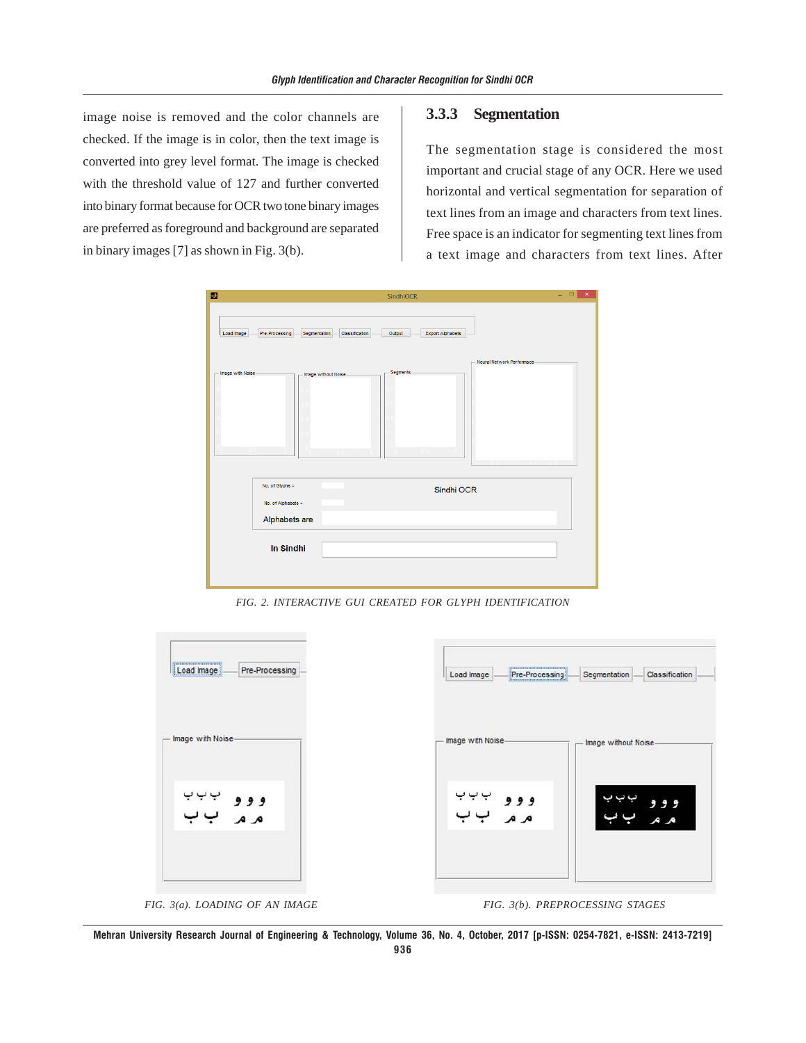image noise is removed and the color channels are checked. If the image is in color, then the text image is converted into grey level format. The image is checked with the threshold value of 127 and further converted into binary format because for OCR two tone binary images are preferred as foreground and background are separated in binary images [7] as shown in Fig. 3(b).

#### **3.3.3 Segmentation**

The segmentation stage is considered the most important and crucial stage of any OCR. Here we used horizontal and vertical segmentation for separation of text lines from an image and characters from text lines. Free space is an indicator for segmenting text lines from a text image and characters from text lines. After



*FIG. 2. INTERACTIVE GUI CREATED FOR GLYPH IDENTIFICATION*



**Mehran University Research Journal of Engineering & Technology, Volume 36, No. 4, October, 2017 [p-ISSN: 0254-7821, e-ISSN: 2413-7219] 936**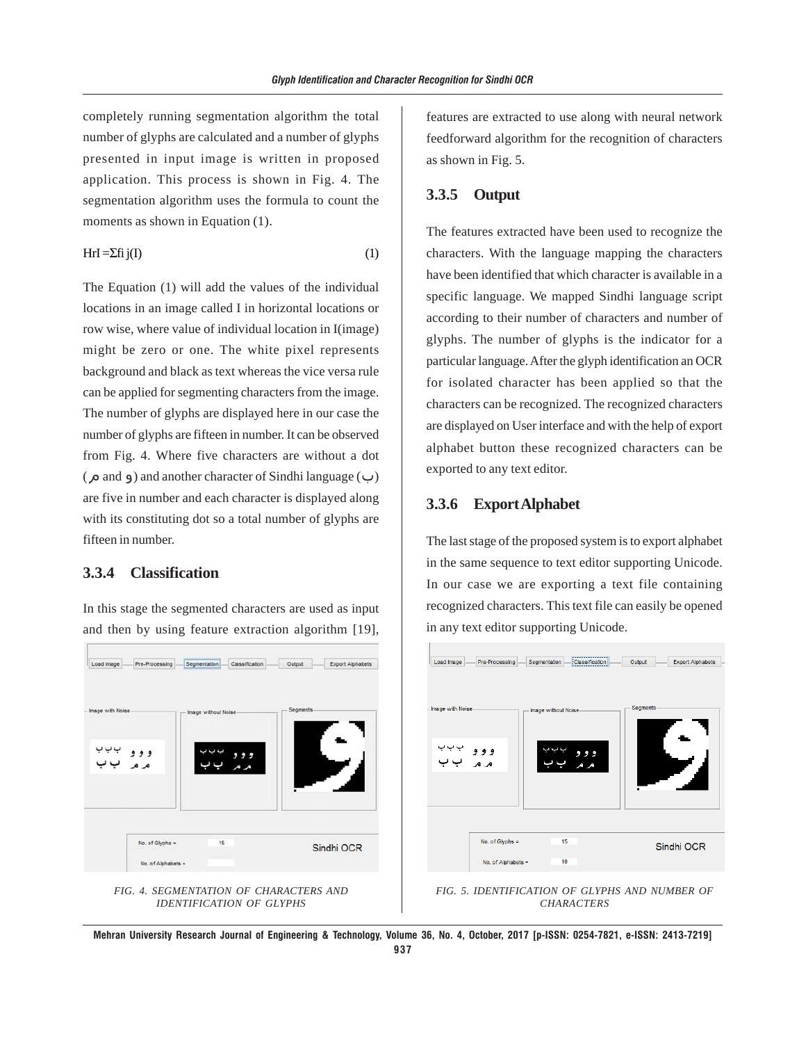completely running segmentation algorithm the total number of glyphs are calculated and a number of glyphs presented in input image is written in proposed application. This process is shown in Fig. 4. The segmentation algorithm uses the formula to count the moments as shown in Equation (1).

$$
Hrl = \sum fij(I)
$$
 (1)

The Equation (1) will add the values of the individual locations in an image called I in horizontal locations or row wise, where value of individual location in I(image) might be zero or one. The white pixel represents background and black as text whereas the vice versa rule can be applied for segmenting characters from the image. The number of glyphs are displayed here in our case the number of glyphs are fifteen in number. It can be observed from Fig. 4. Where five characters are without a dot  $(\infty)$  and  $\infty)$  and another character of Sindhi language ( $\cup$ ) are five in number and each character is displayed along with its constituting dot so a total number of glyphs are fifteen in number.

# **3.3.4 Classification**

In this stage the segmented characters are used as input and then by using feature extraction algorithm [19],

Load Image Pre-Processing Segmentation Classification Output Export Alphabets  $999$  $A$ No. of Glyphs = 15 Sindhi OCR No. of Alphabets



features are extracted to use along with neural network feedforward algorithm for the recognition of characters as shown in Fig. 5.

## **3.3.5 Output**

The features extracted have been used to recognize the characters. With the language mapping the characters have been identified that which character is available in a specific language. We mapped Sindhi language script according to their number of characters and number of glyphs. The number of glyphs is the indicator for a particular language. After the glyph identification an OCR for isolated character has been applied so that the characters can be recognized. The recognized characters are displayed on User interface and with the help of export alphabet button these recognized characters can be exported to any text editor.

## **3.3.6 Export Alphabet**

The last stage of the proposed system is to export alphabet in the same sequence to text editor supporting Unicode. In our case we are exporting a text file containing recognized characters. This text file can easily be opened in any text editor supporting Unicode.



*FIG. 5. IDENTIFICATION OF GLYPHS AND NUMBER OF CHARACTERS*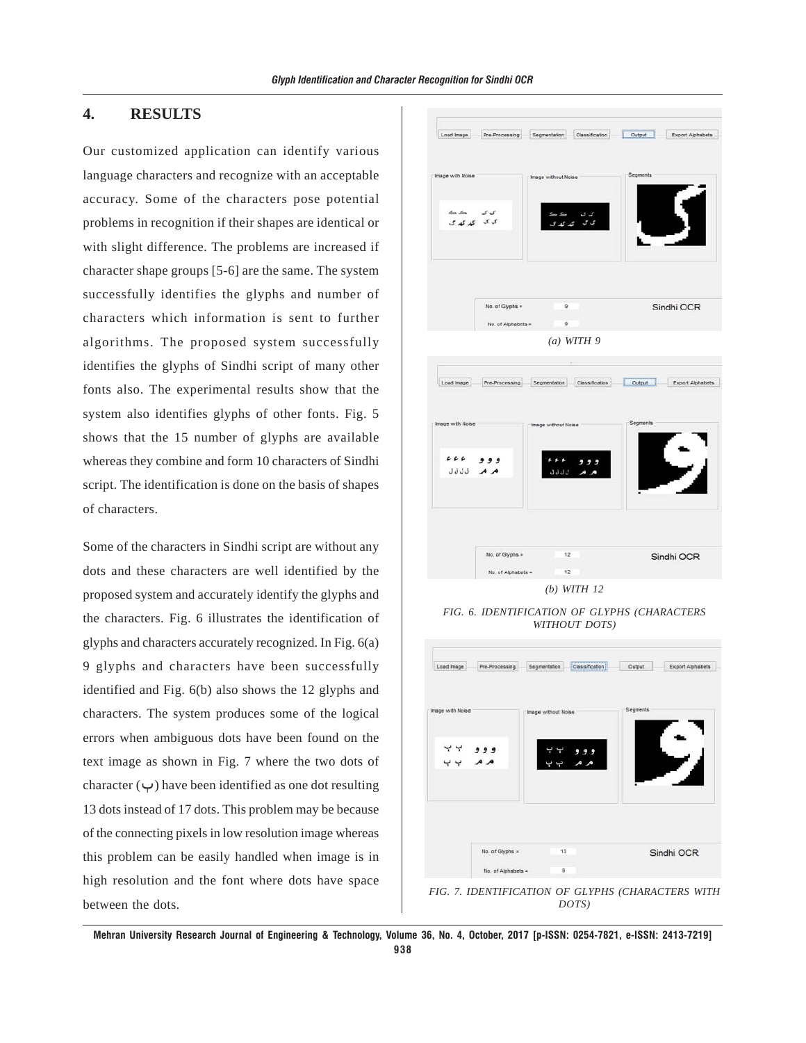## **4. RESULTS**

Our customized application can identify various language characters and recognize with an acceptable accuracy. Some of the characters pose potential problems in recognition if their shapes are identical or with slight difference. The problems are increased if character shape groups [5-6] are the same. The system successfully identifies the glyphs and number of characters which information is sent to further algorithms. The proposed system successfully identifies the glyphs of Sindhi script of many other fonts also. The experimental results show that the system also identifies glyphs of other fonts. Fig. 5 shows that the 15 number of glyphs are available whereas they combine and form 10 characters of Sindhi script. The identification is done on the basis of shapes of characters.

Some of the characters in Sindhi script are without any dots and these characters are well identified by the proposed system and accurately identify the glyphs and the characters. Fig. 6 illustrates the identification of glyphs and characters accurately recognized. In Fig. 6(a) 9 glyphs and characters have been successfully identified and Fig. 6(b) also shows the 12 glyphs and characters. The system produces some of the logical errors when ambiguous dots have been found on the text image as shown in Fig. 7 where the two dots of character  $(\vee)$  have been identified as one dot resulting 13 dots instead of 17 dots. This problem may be because of the connecting pixels in low resolution image whereas this problem can be easily handled when image is in high resolution and the font where dots have space between the dots.





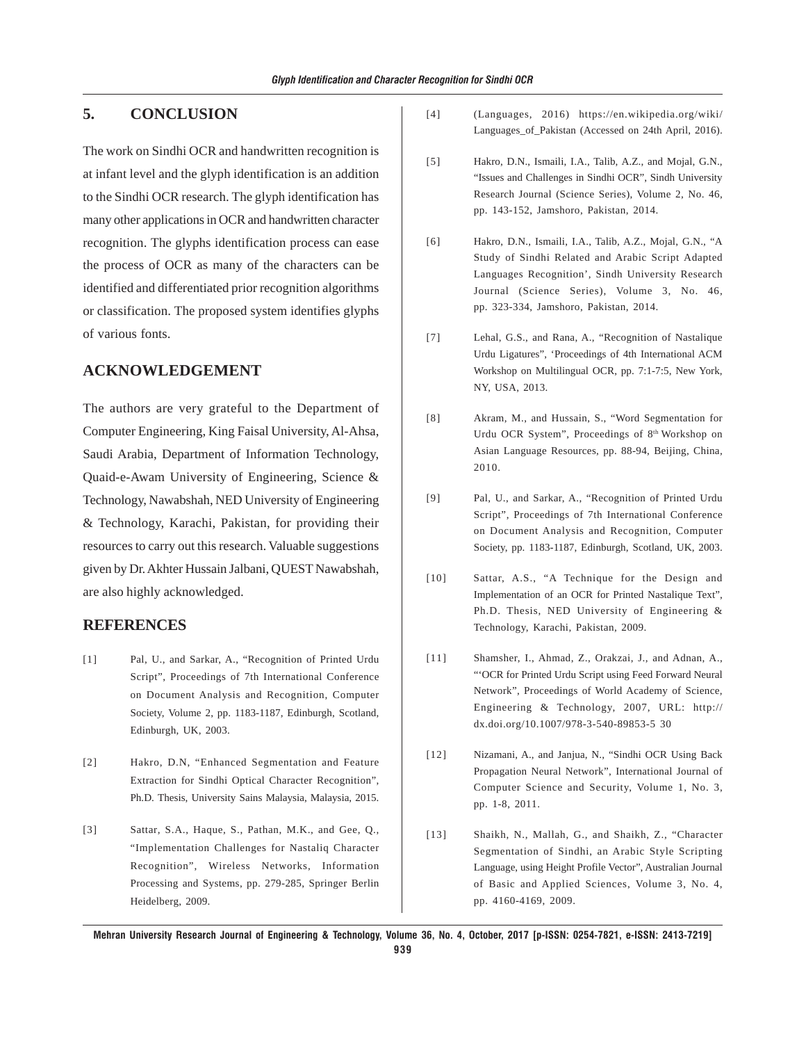# **5. CONCLUSION**

The work on Sindhi OCR and handwritten recognition is at infant level and the glyph identification is an addition to the Sindhi OCR research. The glyph identification has many other applications in OCR and handwritten character recognition. The glyphs identification process can ease the process of OCR as many of the characters can be identified and differentiated prior recognition algorithms or classification. The proposed system identifies glyphs of various fonts.

## **ACKNOWLEDGEMENT**

The authors are very grateful to the Department of Computer Engineering, King Faisal University, Al-Ahsa, Saudi Arabia, Department of Information Technology, Quaid-e-Awam University of Engineering, Science & Technology, Nawabshah, NED University of Engineering & Technology, Karachi, Pakistan, for providing their resources to carry out this research. Valuable suggestions given by Dr. Akhter Hussain Jalbani, QUEST Nawabshah, are also highly acknowledged.

#### **REFERENCES**

- [1] Pal, U., and Sarkar, A., "Recognition of Printed Urdu Script", Proceedings of 7th International Conference on Document Analysis and Recognition, Computer Society, Volume 2, pp. 1183-1187, Edinburgh, Scotland, Edinburgh, UK, 2003.
- [2] Hakro, D.N, "Enhanced Segmentation and Feature Extraction for Sindhi Optical Character Recognition", Ph.D. Thesis, University Sains Malaysia, Malaysia, 2015.
- [3] Sattar, S.A., Haque, S., Pathan, M.K., and Gee, Q., "Implementation Challenges for Nastaliq Character Recognition", Wireless Networks, Information Processing and Systems, pp. 279-285, Springer Berlin Heidelberg, 2009.
- [4] (Languages, 2016) https://en.wikipedia.org/wiki/ Languages\_of\_Pakistan (Accessed on 24th April, 2016).
- [5] Hakro, D.N., Ismaili, I.A., Talib, A.Z., and Mojal, G.N., "Issues and Challenges in Sindhi OCR", Sindh University Research Journal (Science Series), Volume 2, No. 46, pp. 143-152, Jamshoro, Pakistan, 2014.
- [6] Hakro, D.N., Ismaili, I.A., Talib, A.Z., Mojal, G.N., "A Study of Sindhi Related and Arabic Script Adapted Languages Recognition', Sindh University Research Journal (Science Series), Volume 3, No. 46, pp. 323-334, Jamshoro, Pakistan, 2014.
- [7] Lehal, G.S., and Rana, A., "Recognition of Nastalique Urdu Ligatures", 'Proceedings of 4th International ACM Workshop on Multilingual OCR, pp. 7:1-7:5, New York, NY, USA, 2013.
- [8] Akram, M., and Hussain, S., "Word Segmentation for Urdu OCR System", Proceedings of 8<sup>th</sup> Workshop on Asian Language Resources, pp. 88-94, Beijing, China, 2010.
- [9] Pal, U., and Sarkar, A., "Recognition of Printed Urdu Script", Proceedings of 7th International Conference on Document Analysis and Recognition, Computer Society, pp. 1183-1187, Edinburgh, Scotland, UK, 2003.
- [10] Sattar, A.S., "A Technique for the Design and Implementation of an OCR for Printed Nastalique Text", Ph.D. Thesis, NED University of Engineering & Technology, Karachi, Pakistan, 2009.
- [11] Shamsher, I., Ahmad, Z., Orakzai, J., and Adnan, A., "'OCR for Printed Urdu Script using Feed Forward Neural Network", Proceedings of World Academy of Science, Engineering & Technology, 2007, URL: http:// dx.doi.org/10.1007/978-3-540-89853-5 30
- [12] Nizamani, A., and Janjua, N., "Sindhi OCR Using Back Propagation Neural Network", International Journal of Computer Science and Security, Volume 1, No. 3, pp. 1-8, 2011.
- [13] Shaikh, N., Mallah, G., and Shaikh, Z., "Character Segmentation of Sindhi, an Arabic Style Scripting Language, using Height Profile Vector", Australian Journal of Basic and Applied Sciences, Volume 3, No. 4, pp. 4160-4169, 2009.